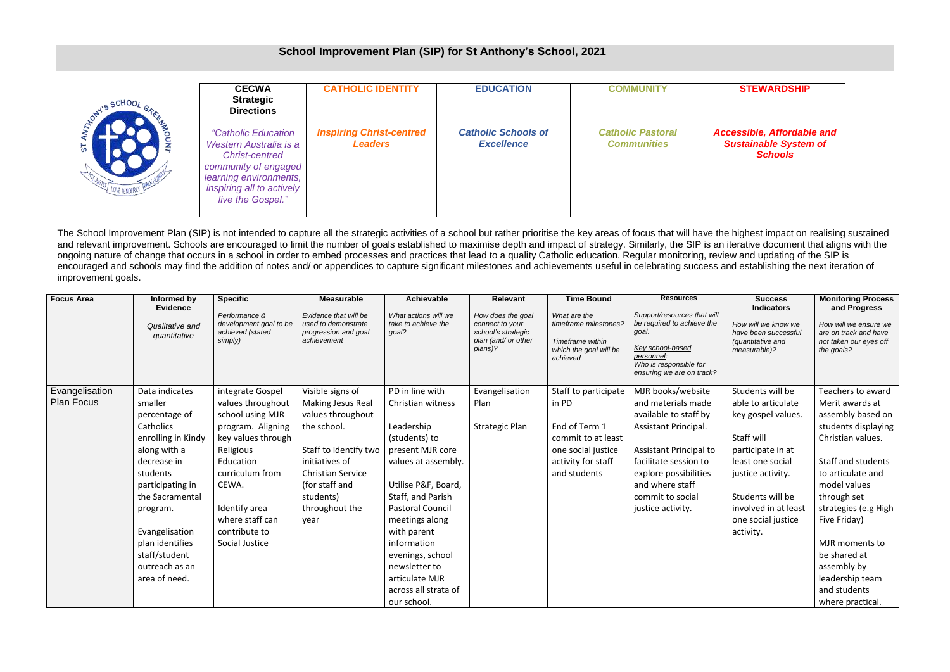| <b>ATON'S SCHOO</b> | <b>CECWA</b><br><b>Strategic</b><br><b>Directions</b>                                                                                                                             | <b>CATHOLIC IDENTITY</b>                          | <b>EDUCATION</b>                                | <b>COMMUNITY</b>                               |  |
|---------------------|-----------------------------------------------------------------------------------------------------------------------------------------------------------------------------------|---------------------------------------------------|-------------------------------------------------|------------------------------------------------|--|
| 5T                  | <i>"Catholic Education</i><br>Western Australia is a<br><b>Christ-centred</b><br>community of engaged<br>learning environments,<br>inspiring all to actively<br>live the Gospel." | <b>Inspiring Christ-centred</b><br><b>Leaders</b> | <b>Catholic Schools of</b><br><b>Excellence</b> | <b>Catholic Pastoral</b><br><b>Communities</b> |  |

## **STEWARDSHIP**

## *Accessible, Affordable and Sustainable System of Schools*

The School Improvement Plan (SIP) is not intended to capture all the strategic activities of a school but rather prioritise the key areas of focus that will have the highest impact on realising sustained and relevant improvement. Schools are encouraged to limit the number of goals established to maximise depth and impact of strategy. Similarly, the SIP is an iterative document that aligns with the ongoing nature of change that occurs in a school in order to embed processes and practices that lead to a quality Catholic education. Regular monitoring, review and updating of the SIP is encouraged and schools may find the addition of notes and/ or appendices to capture significant milestones and achievements useful in celebrating success and establishing the next iteration of improvement goals.

| <b>Focus Area</b>                   | Informed by<br><b>Evidence</b><br>Qualitative and<br>quantitative                                                                                                                                                                                                    | <b>Specific</b><br>Performance &<br>development goal to be<br>achieved (stated<br>simply)                                                                                                                                         | <b>Measurable</b><br>Evidence that will be<br>used to demonstrate<br>progression and goal<br>achievement                                                                                                  | <b>Achievable</b><br>What actions will we<br>take to achieve the<br>goal?                                                                                                                                                                                                                                                           | <b>Relevant</b><br>How does the goal<br>connect to your<br>school's strategic<br>plan (and/ or other<br>plans)? | <b>Time Bound</b><br>What are the<br>timeframe milestones?<br>Timeframe within<br>which the goal will be<br>achieved             | <b>Resources</b><br>Support/resources that will<br>be required to achieve the<br>goal.<br>Key school-based<br>personnel:<br>Who is responsible for<br>ensuring we are on track?                                                  | <b>Success</b><br><b>Indicators</b><br>How will we know we<br>have been successful<br>(quantitative and<br>measurable)?                                                                                                 | <b>Monitoring Process</b><br>and Progress<br>How will we ensure we<br>are on track and have<br>not taken our eyes off<br>the goals?                                                                                                                                                                                             |
|-------------------------------------|----------------------------------------------------------------------------------------------------------------------------------------------------------------------------------------------------------------------------------------------------------------------|-----------------------------------------------------------------------------------------------------------------------------------------------------------------------------------------------------------------------------------|-----------------------------------------------------------------------------------------------------------------------------------------------------------------------------------------------------------|-------------------------------------------------------------------------------------------------------------------------------------------------------------------------------------------------------------------------------------------------------------------------------------------------------------------------------------|-----------------------------------------------------------------------------------------------------------------|----------------------------------------------------------------------------------------------------------------------------------|----------------------------------------------------------------------------------------------------------------------------------------------------------------------------------------------------------------------------------|-------------------------------------------------------------------------------------------------------------------------------------------------------------------------------------------------------------------------|---------------------------------------------------------------------------------------------------------------------------------------------------------------------------------------------------------------------------------------------------------------------------------------------------------------------------------|
| Evangelisation<br><b>Plan Focus</b> | Data indicates<br>smaller<br>percentage of<br>Catholics<br>enrolling in Kindy<br>along with a<br>decrease in<br>students<br>participating in<br>the Sacramental<br>program.<br>Evangelisation<br>plan identifies<br>staff/student<br>outreach as an<br>area of need. | integrate Gospel<br>values throughout<br>school using MJR<br>program. Aligning<br>key values through<br>Religious<br>Education<br>curriculum from<br>CEWA.<br>Identify area<br>where staff can<br>contribute to<br>Social Justice | Visible signs of<br>Making Jesus Real<br>values throughout<br>the school.<br>Staff to identify two<br>initiatives of<br><b>Christian Service</b><br>(for staff and<br>students)<br>throughout the<br>year | PD in line with<br>Christian witness<br>Leadership<br>(students) to<br>present MJR core<br>values at assembly.<br>Utilise P&F, Board,<br>Staff, and Parish<br><b>Pastoral Council</b><br>meetings along<br>with parent<br>information<br>evenings, school<br>newsletter to<br>articulate MJR<br>across all strata of<br>our school. | Evangelisation<br>Plan<br><b>Strategic Plan</b>                                                                 | Staff to participate<br>in PD<br>End of Term 1<br>commit to at least<br>one social justice<br>activity for staff<br>and students | MJR books/website<br>and materials made<br>available to staff by<br>Assistant Principal.<br>Assistant Principal to<br>facilitate session to<br>explore possibilities<br>and where staff<br>commit to social<br>justice activity. | Students will be<br>able to articulate<br>key gospel values.<br>Staff will<br>participate in at<br>least one social<br>justice activity.<br>Students will be<br>involved in at least<br>one social justice<br>activity. | Teachers to award<br>Merit awards at<br>assembly based on<br>students displaying<br>Christian values.<br>Staff and students<br>to articulate and<br>model values<br>through set<br>strategies (e.g High<br>Five Friday)<br>MJR moments to<br>be shared at<br>assembly by<br>leadership team<br>and students<br>where practical. |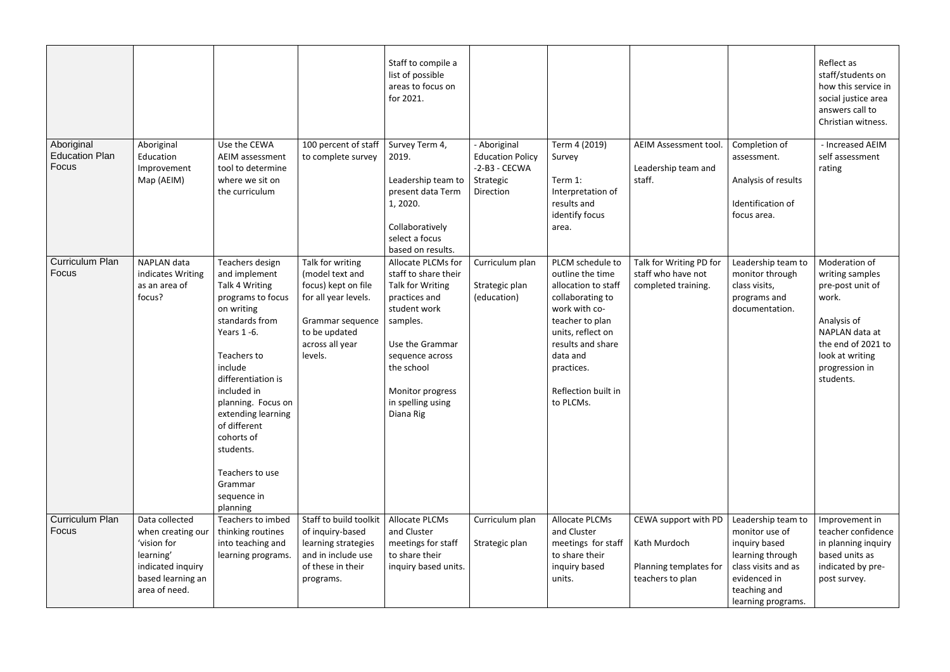|                                              |                                                                                                                            |                                                                                                                                                                                                                                                                                                                                      |                                                                                                                                                       | Staff to compile a<br>list of possible<br>areas to focus on<br>for 2021.                                                                                                                                              |                                                                                      |                                                                                                                                                                                                                             |                                                                                    |                                                                                                                                                        | Reflect as<br>staff/students on<br>how this service in<br>social justice area<br>answers call to<br>Christian witness.                                                 |
|----------------------------------------------|----------------------------------------------------------------------------------------------------------------------------|--------------------------------------------------------------------------------------------------------------------------------------------------------------------------------------------------------------------------------------------------------------------------------------------------------------------------------------|-------------------------------------------------------------------------------------------------------------------------------------------------------|-----------------------------------------------------------------------------------------------------------------------------------------------------------------------------------------------------------------------|--------------------------------------------------------------------------------------|-----------------------------------------------------------------------------------------------------------------------------------------------------------------------------------------------------------------------------|------------------------------------------------------------------------------------|--------------------------------------------------------------------------------------------------------------------------------------------------------|------------------------------------------------------------------------------------------------------------------------------------------------------------------------|
| Aboriginal<br><b>Education Plan</b><br>Focus | Aboriginal<br>Education<br>Improvement<br>Map (AEIM)                                                                       | Use the CEWA<br><b>AEIM assessment</b><br>tool to determine<br>where we sit on<br>the curriculum                                                                                                                                                                                                                                     | 100 percent of staff<br>to complete survey                                                                                                            | Survey Term 4,<br>2019.<br>Leadership team to<br>present data Term<br>1, 2020.<br>Collaboratively<br>select a focus<br>based on results.                                                                              | - Aboriginal<br><b>Education Policy</b><br>$-2-B3 - CECWA$<br>Strategic<br>Direction | Term 4 (2019)<br>Survey<br>Term 1:<br>Interpretation of<br>results and<br>identify focus<br>area.                                                                                                                           | AEIM Assessment tool.<br>Leadership team and<br>staff.                             | Completion of<br>assessment.<br>Analysis of results<br>Identification of<br>focus area.                                                                | - Increased AEIM<br>self assessment<br>rating                                                                                                                          |
| <b>Curriculum Plan</b><br>Focus              | <b>NAPLAN</b> data<br>indicates Writing<br>as an area of<br>focus?                                                         | Teachers design<br>and implement<br>Talk 4 Writing<br>programs to focus<br>on writing<br>standards from<br>Years 1-6.<br>Teachers to<br>include<br>differentiation is<br>included in<br>planning. Focus on<br>extending learning<br>of different<br>cohorts of<br>students.<br>Teachers to use<br>Grammar<br>sequence in<br>planning | Talk for writing<br>(model text and<br>focus) kept on file<br>for all year levels.<br>Grammar sequence<br>to be updated<br>across all year<br>levels. | Allocate PLCMs for<br>staff to share their<br>Talk for Writing<br>practices and<br>student work<br>samples.<br>Use the Grammar<br>sequence across<br>the school<br>Monitor progress<br>in spelling using<br>Diana Rig | Curriculum plan<br>Strategic plan<br>(education)                                     | PLCM schedule to<br>outline the time<br>allocation to staff<br>collaborating to<br>work with co-<br>teacher to plan<br>units, reflect on<br>results and share<br>data and<br>practices.<br>Reflection built in<br>to PLCMs. | Talk for Writing PD for<br>staff who have not<br>completed training.               | Leadership team to<br>monitor through<br>class visits,<br>programs and<br>documentation.                                                               | Moderation of<br>writing samples<br>pre-post unit of<br>work.<br>Analysis of<br>NAPLAN data at<br>the end of 2021 to<br>look at writing<br>progression in<br>students. |
| <b>Curriculum Plan</b><br>Focus              | Data collected<br>when creating our<br>'vision for<br>learning'<br>indicated inquiry<br>based learning an<br>area of need. | Teachers to imbed<br>thinking routines<br>into teaching and<br>learning programs.                                                                                                                                                                                                                                                    | Staff to build toolkit<br>of inquiry-based<br>learning strategies<br>and in include use<br>of these in their<br>programs.                             | <b>Allocate PLCMs</b><br>and Cluster<br>meetings for staff<br>to share their<br>inquiry based units.                                                                                                                  | Curriculum plan<br>Strategic plan                                                    | Allocate PLCMs<br>and Cluster<br>meetings for staff<br>to share their<br>inquiry based<br>units.                                                                                                                            | CEWA support with PD<br>Kath Murdoch<br>Planning templates for<br>teachers to plan | Leadership team to<br>monitor use of<br>inquiry based<br>learning through<br>class visits and as<br>evidenced in<br>teaching and<br>learning programs. | Improvement in<br>teacher confidence<br>in planning inquiry<br>based units as<br>indicated by pre-<br>post survey.                                                     |